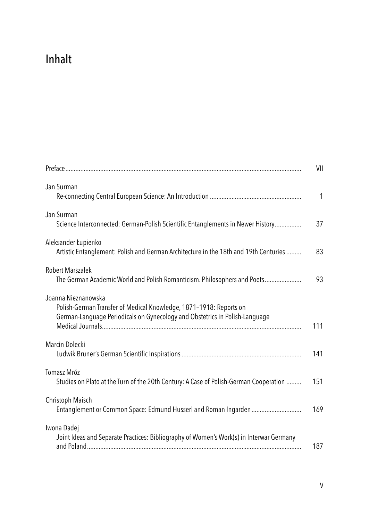## Inhalt

|                                                                                                                                                                          | VII |
|--------------------------------------------------------------------------------------------------------------------------------------------------------------------------|-----|
| Jan Surman                                                                                                                                                               | 1   |
| Jan Surman<br>Science Interconnected: German-Polish Scientific Entanglements in Newer History                                                                            | 37  |
| Aleksander Łupienko<br>Artistic Entanglement: Polish and German Architecture in the 18th and 19th Centuries                                                              | 83  |
| <b>Robert Marszałek</b><br>The German Academic World and Polish Romanticism. Philosophers and Poets                                                                      | 93  |
| Joanna Nieznanowska<br>Polish-German Transfer of Medical Knowledge, 1871-1918: Reports on<br>German-Language Periodicals on Gynecology and Obstetrics in Polish-Language | 111 |
| Marcin Dolecki                                                                                                                                                           | 141 |
| Tomasz Mróz<br>Studies on Plato at the Turn of the 20th Century: A Case of Polish-German Cooperation                                                                     | 151 |
| Christoph Maisch                                                                                                                                                         | 169 |
| Iwona Dadej<br>Joint Ideas and Separate Practices: Bibliography of Women's Work(s) in Interwar Germany                                                                   | 187 |